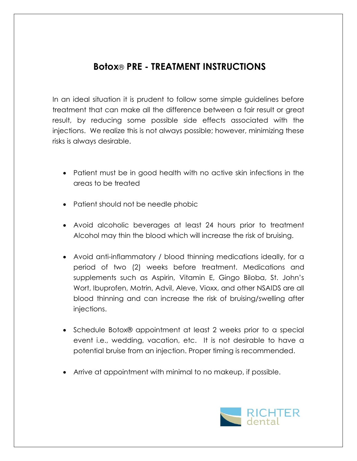## **Botox**® **PRE - TREATMENT INSTRUCTIONS**

In an ideal situation it is prudent to follow some simple guidelines before treatment that can make all the difference between a fair result or great result, by reducing some possible side effects associated with the injections. We realize this is not always possible; however, minimizing these risks is always desirable.

- Patient must be in good health with no active skin infections in the areas to be treated
- Patient should not be needle phobic
- Avoid alcoholic beverages at least 24 hours prior to treatment Alcohol may thin the blood which will increase the risk of bruising.
- Avoid anti-inflammatory / blood thinning medications ideally, for a period of two (2) weeks before treatment. Medications and supplements such as Aspirin, Vitamin E, Gingo Biloba, St. John's Wort, Ibuprofen, Motrin, Advil, Aleve, Vioxx, and other NSAIDS are all blood thinning and can increase the risk of bruising/swelling after injections.
- Schedule Botox® appointment at least 2 weeks prior to a special event i.e., wedding, vacation, etc. It is not desirable to have a potential bruise from an injection. Proper timing is recommended.
- Arrive at appointment with minimal to no makeup, if possible.